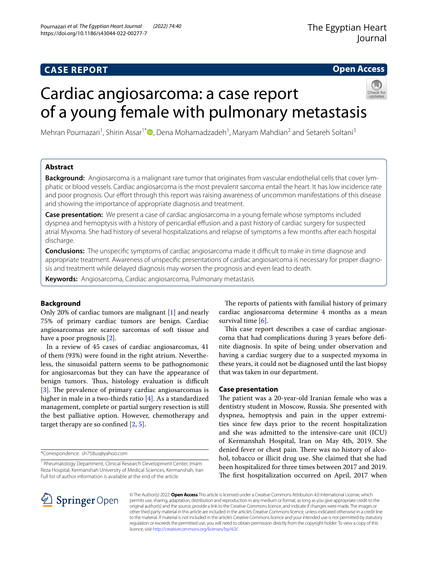# **CASE REPORT**

# **Open Access**

# Cardiac angiosarcoma: a case report of a young female with pulmonary metastasis



Mehran Pournazari<sup>1</sup>[,](http://orcid.org/0000-0002-7278-492X) Shirin Assar<sup>1\*</sup>®, Dena Mohamadzadeh<sup>1</sup>, Maryam Mahdian<sup>2</sup> and Setareh Soltani<sup>3</sup>

# **Abstract**

**Background:** Angiosarcoma is a malignant rare tumor that originates from vascular endothelial cells that cover lymphatic or blood vessels. Cardiac angiosarcoma is the most prevalent sarcoma entail the heart. It has low incidence rate and poor prognosis. Our effort through this report was raising awareness of uncommon manifestations of this disease and showing the importance of appropriate diagnosis and treatment.

**Case presentation:** We present a case of cardiac angiosarcoma in a young female whose symptoms included dyspnea and hemoptysis with a history of pericardial efusion and a past history of cardiac surgery for suspected atrial Myxoma. She had history of several hospitalizations and relapse of symptoms a few months after each hospital discharge.

**Conclusions:** The unspecific symptoms of cardiac angiosarcoma made it difficult to make in time diagnose and appropriate treatment. Awareness of unspecifc presentations of cardiac angiosarcoma is necessary for proper diagnosis and treatment while delayed diagnosis may worsen the prognosis and even lead to death.

**Keywords:** Angiosarcoma, Cardiac angiosarcoma, Pulmonary metastasis

# **Background**

Only 20% of cardiac tumors are malignant [[1\]](#page-3-0) and nearly 75% of primary cardiac tumors are benign. Cardiac angiosarcomas are scarce sarcomas of soft tissue and have a poor prognosis [[2\]](#page-3-1).

In a review of 45 cases of cardiac angiosarcomas, 41 of them (93%) were found in the right atrium. Nevertheless, the sinusoidal pattern seems to be pathognomonic for angiosarcomas but they can have the appearance of benign tumors. Thus, histology evaluation is difficult [[3\]](#page-3-2). The prevalence of primary cardiac angiosarcomas is higher in male in a two-thirds ratio [\[4](#page-3-3)]. As a standardized management, complete or partial surgery resection is still the best palliative option. However, chemotherapy and target therapy are so confined  $[2, 5]$  $[2, 5]$  $[2, 5]$ .

\*Correspondence: sh758us@yahoo.com

The reports of patients with familial history of primary cardiac angiosarcoma determine 4 months as a mean survival time [\[6](#page-3-5)].

This case report describes a case of cardiac angiosarcoma that had complications during 3 years before defnite diagnosis. In spite of being under observation and having a cardiac surgery due to a suspected myxoma in these years, it could not be diagnosed until the last biopsy that was taken in our department.

# **Case presentation**

The patient was a 20-year-old Iranian female who was a dentistry student in Moscow, Russia. She presented with dyspnea, hemoptysis and pain in the upper extremities since few days prior to the recent hospitalization and she was admitted to the intensive-care unit (ICU) of Kermanshah Hospital, Iran on May 4th, 2019. She denied fever or chest pain. There was no history of alcohol, tobacco or illicit drug use. She claimed that she had been hospitalized for three times between 2017 and 2019. The first hospitalization occurred on April, 2017 when



© The Author(s) 2022. **Open Access** This article is licensed under a Creative Commons Attribution 4.0 International License, which permits use, sharing, adaptation, distribution and reproduction in any medium or format, as long as you give appropriate credit to the original author(s) and the source, provide a link to the Creative Commons licence, and indicate if changes were made. The images or other third party material in this article are included in the article's Creative Commons licence, unless indicated otherwise in a credit line to the material. If material is not included in the article's Creative Commons licence and your intended use is not permitted by statutory regulation or exceeds the permitted use, you will need to obtain permission directly from the copyright holder. To view a copy of this licence, visit [http://creativecommons.org/licenses/by/4.0/.](http://creativecommons.org/licenses/by/4.0/)

<sup>&</sup>lt;sup>1</sup> Rheumatology Department, Clinical Research Development Center, Imam Reza Hospital, Kermanshah University of Medical Sciences, Kermanshah, Iran Full list of author information is available at the end of the article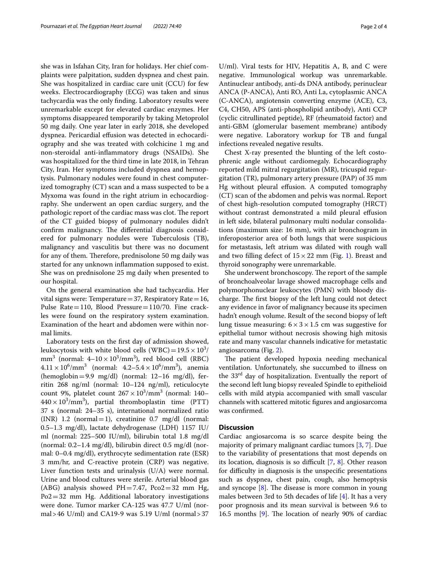she was in Isfahan City, Iran for holidays. Her chief complaints were palpitation, sudden dyspnea and chest pain. She was hospitalized in cardiac care unit (CCU) for few weeks. Electrocardiography (ECG) was taken and sinus tachycardia was the only fnding. Laboratory results were unremarkable except for elevated cardiac enzymes. Her symptoms disappeared temporarily by taking Metoprolol 50 mg daily. One year later in early 2018, she developed dyspnea. Pericardial effusion was detected in echocardiography and she was treated with colchicine 1 mg and non-steroidal anti-infammatory drugs (NSAIDs). She was hospitalized for the third time in late 2018, in Tehran City, Iran. Her symptoms included dyspnea and hemoptysis. Pulmonary nodules were found in chest computerized tomography (CT) scan and a mass suspected to be a Myxoma was found in the right atrium in echocardiography. She underwent an open cardiac surgery, and the pathologic report of the cardiac mass was clot. The report of the CT guided biopsy of pulmonary nodules didn't confirm malignancy. The differential diagnosis considered for pulmonary nodules were Tuberculosis (TB), malignancy and vasculitis but there was no document for any of them. Therefore, prednisolone 50 mg daily was started for any unknown infammation supposed to exist. She was on prednisolone 25 mg daily when presented to our hospital.

On the general examination she had tachycardia. Her vital signs were: Temperature=37, Respiratory Rate=16, Pulse Rate=110, Blood Pressure=110/70. Fine crackles were found on the respiratory system examination. Examination of the heart and abdomen were within normal limits.

Laboratory tests on the frst day of admission showed, leukocytosis with white blood cells (WBC) =  $19.5 \times 10^3/$ mm<sup>3</sup> (normal:  $4-10 \times 10^3/\text{mm}^3$ ), red blood cell (RBC)  $4.11 \times 10^6/\text{mm}^3$  (normal:  $4.2 - 5.4 \times 10^6/\text{mm}^3$ ), anemia (hemoglobin=9.9 mg/dl) (normal: 12–16 mg/dl), ferritin 268 ng/ml (normal: 10–124 ng/ml), reticulocyte count 9%, platelet count  $267 \times 10^3/\text{mm}^3$  (normal: 140–  $440 \times 10^3/\text{mm}^3$ ), partial thromboplastin time (PTT) 37 s (normal: 24–35 s), international normalized ratio  $(INR)$  1.2 (normal = 1), creatinine 0.7 mg/dl (normal: 0.5–1.3 mg/dl), lactate dehydrogenase (LDH) 1157 IU/ ml (normal: 225–500 IU/ml), bilirubin total 1.8 mg/dl (normal: 0.2–1.4 mg/dl), bilirubin direct 0.5 mg/dl (normal: 0–0.4 mg/dl), erythrocyte sedimentation rate (ESR) 3 mm/hr, and C-reactive protein (CRP) was negative. Liver function tests and urinalysis (U/A) were normal. Urine and blood cultures were sterile. Arterial blood gas (ABG) analysis showed PH=7.47,  $Pco2=32$  mm Hg, Po2=32 mm Hg. Additional laboratory investigations were done. Tumor marker CA-125 was 47.7 U/ml (normal > 46 U/ml) and CA19-9 was 5.19 U/ml (normal > 37

negative. Immunological workup was unremarkable. Antinuclear antibody, anti-ds DNA antibody, perinuclear ANCA (P-ANCA), Anti RO, Anti La, cytoplasmic ANCA (C-ANCA), angiotensin converting enzyme (ACE), C3, C4, CH50, APS (anti-phospholipid antibody), Anti CCP (cyclic citrullinated peptide), RF (rheumatoid factor) and anti-GBM (glomerular basement membrane) antibody were negative. Laboratory workup for TB and fungal infections revealed negative results.

Chest X-ray presented the blunting of the left costophrenic angle without cardiomegaly. Echocardiography reported mild mitral regurgitation (MR), tricuspid regurgitation (TR), pulmonary artery pressure (PAP) of 35 mm Hg without pleural effusion. A computed tomography (CT) scan of the abdomen and pelvis was normal. Report of chest high-resolution computed tomography (HRCT) without contrast demonstrated a mild pleural effusion in left side, bilateral pulmonary multi nodular consolidations (maximum size: 16 mm), with air bronchogram in inferoposterior area of both lungs that were suspicious for metastasis, left atrium was dilated with rough wall and two filling defect of  $15 \times 22$  mm (Fig. [1\)](#page-2-0). Breast and thyroid sonography were unremarkable.

She underwent bronchoscopy. The report of the sample of bronchoalveolar lavage showed macrophage cells and polymorphonuclear leukocytes (PMN) with bloody discharge. The first biopsy of the left lung could not detect any evidence in favor of malignancy because its specimen hadn't enough volume. Result of the second biopsy of left lung tissue measuring:  $6 \times 3 \times 1.5$  cm was suggestive for epithelial tumor without necrosis showing high mitosis rate and many vascular channels indicative for metastatic angiosarcoma (Fig. [2\)](#page-2-1).

The patient developed hypoxia needing mechanical ventilation. Unfortunately, she succumbed to illness on the 33<sup>rd</sup> day of hospitalization. Eventually the report of the second left lung biopsy revealed Spindle to epithelioid cells with mild atypia accompanied with small vascular channels with scattered mitotic fgures and angiosarcoma was confrmed.

## **Discussion**

Cardiac angiosarcoma is so scarce despite being the majority of primary malignant cardiac tumors [[3,](#page-3-2) [7\]](#page-3-6). Due to the variability of presentations that most depends on its location, diagnosis is so difficult  $[7, 8]$  $[7, 8]$  $[7, 8]$  $[7, 8]$  $[7, 8]$ . Other reason for difficulty in diagnosis is the unspecific presentations such as dyspnea, chest pain, cough, also hemoptysis and syncope  $[8]$  $[8]$ . The disease is more common in young males between 3rd to 5th decades of life [[4\]](#page-3-3). It has a very poor prognosis and its mean survival is between 9.6 to 16.5 months  $[9]$ . The location of nearly 90% of cardiac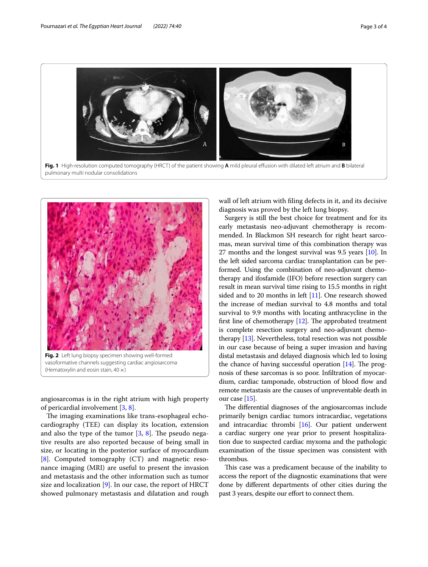

<span id="page-2-0"></span>

<span id="page-2-1"></span>angiosarcomas is in the right atrium with high property of pericardial involvement [\[3](#page-3-2), [8\]](#page-3-7).

The imaging examinations like trans-esophageal echocardiography (TEE) can display its location, extension and also the type of the tumor  $[3, 8]$  $[3, 8]$  $[3, 8]$  $[3, 8]$ . The pseudo negative results are also reported because of being small in size, or locating in the posterior surface of myocardium [[8\]](#page-3-7). Computed tomography (CT) and magnetic resonance imaging (MRI) are useful to present the invasion and metastasis and the other information such as tumor size and localization  $[9]$  $[9]$  $[9]$ . In our case, the report of HRCT showed pulmonary metastasis and dilatation and rough wall of left atrium with fling defects in it, and its decisive diagnosis was proved by the left lung biopsy.

Surgery is still the best choice for treatment and for its early metastasis neo-adjuvant chemotherapy is recommended. In Blackmon SH research for right heart sarcomas, mean survival time of this combination therapy was 27 months and the longest survival was 9.5 years [\[10](#page-3-9)]. In the left sided sarcoma cardiac transplantation can be performed. Using the combination of neo-adjuvant chemotherapy and ifosfamide (IFO) before resection surgery can result in mean survival time rising to 15.5 months in right sided and to 20 months in left [[11](#page-3-10)]. One research showed the increase of median survival to 4.8 months and total survival to 9.9 months with locating anthracycline in the first line of chemotherapy  $[12]$ . The approbated treatment is complete resection surgery and neo-adjuvant chemotherapy [\[13\]](#page-3-12). Nevertheless, total resection was not possible in our case because of being a super invasion and having distal metastasis and delayed diagnosis which led to losing the chance of having successful operation  $[14]$ . The prognosis of these sarcomas is so poor. Infltration of myocardium, cardiac tamponade, obstruction of blood flow and remote metastasis are the causes of unpreventable death in our case [[15](#page-3-14)].

The differential diagnoses of the angiosarcomas include primarily benign cardiac tumors intracardiac, vegetations and intracardiac thrombi  $[16]$ . Our patient underwent a cardiac surgery one year prior to present hospitalization due to suspected cardiac myxoma and the pathologic examination of the tissue specimen was consistent with thrombus.

This case was a predicament because of the inability to access the report of the diagnostic examinations that were done by diferent departments of other cities during the past 3 years, despite our effort to connect them.